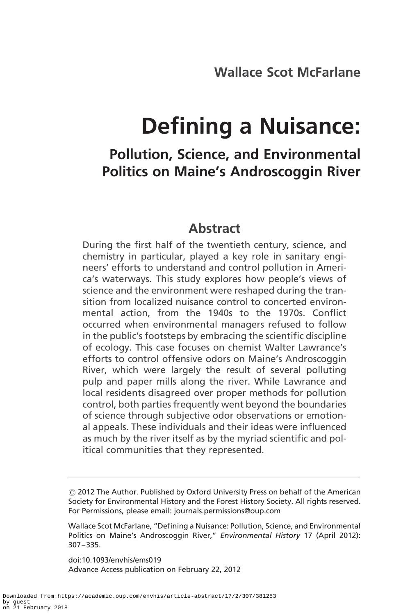# Defining a Nuisance:

# Pollution, Science, and Environmental Politics on Maine's Androscoggin River

#### Abstract

During the first half of the twentieth century, science, and chemistry in particular, played a key role in sanitary engineers' efforts to understand and control pollution in America's waterways. This study explores how people's views of science and the environment were reshaped during the transition from localized nuisance control to concerted environmental action, from the 1940s to the 1970s. Conflict occurred when environmental managers refused to follow in the public's footsteps by embracing the scientific discipline of ecology. This case focuses on chemist Walter Lawrance's efforts to control offensive odors on Maine's Androscoggin River, which were largely the result of several polluting pulp and paper mills along the river. While Lawrance and local residents disagreed over proper methods for pollution control, both parties frequently went beyond the boundaries of science through subjective odor observations or emotional appeals. These individuals and their ideas were influenced as much by the river itself as by the myriad scientific and political communities that they represented.

doi:10.1093/envhis/ems019 Advance Access publication on February 22, 2012

 $\odot$  2012 The Author. Published by Oxford University Press on behalf of the American Society for Environmental History and the Forest History Society. All rights reserved. For Permissions, please email: journals.permissions@oup.com

Wallace Scot McFarlane, "Defining a Nuisance: Pollution, Science, and Environmental Politics on Maine's Androscoggin River," Environmental History 17 (April 2012): 307–335.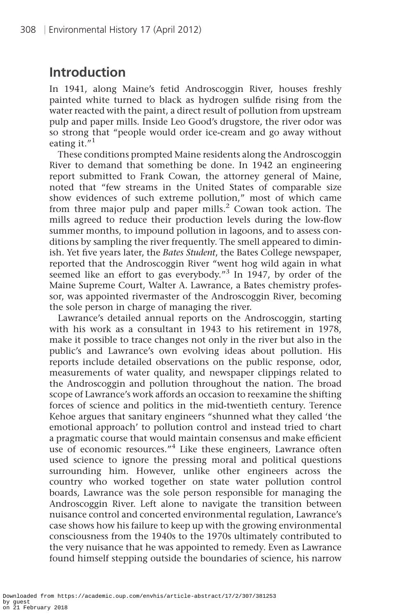#### Introduction

In 1941, along Maine's fetid Androscoggin River, houses freshly painted white turned to black as hydrogen sulfide rising from the water reacted with the paint, a direct result of pollution from upstream pulp and paper mills. Inside Leo Good's drugstore, the river odor was so strong that "people would order ice-cream and go away without eating it."<sup>1</sup>

These conditions prompted Maine residents along the Androscoggin River to demand that something be done. In 1942 an engineering report submitted to Frank Cowan, the attorney general of Maine, noted that "few streams in the United States of comparable size show evidences of such extreme pollution," most of which came from three major pulp and paper mills.<sup>2</sup> Cowan took action. The mills agreed to reduce their production levels during the low-flow summer months, to impound pollution in lagoons, and to assess conditions by sampling the river frequently. The smell appeared to diminish. Yet five years later, the Bates Student, the Bates College newspaper, reported that the Androscoggin River "went hog wild again in what seemed like an effort to gas everybody."<sup>3</sup> In 1947, by order of the Maine Supreme Court, Walter A. Lawrance, a Bates chemistry professor, was appointed rivermaster of the Androscoggin River, becoming the sole person in charge of managing the river.

Lawrance's detailed annual reports on the Androscoggin, starting with his work as a consultant in 1943 to his retirement in 1978, make it possible to trace changes not only in the river but also in the public's and Lawrance's own evolving ideas about pollution. His reports include detailed observations on the public response, odor, measurements of water quality, and newspaper clippings related to the Androscoggin and pollution throughout the nation. The broad scope of Lawrance's work affords an occasion to reexamine the shifting forces of science and politics in the mid-twentieth century. Terence Kehoe argues that sanitary engineers "shunned what they called 'the emotional approach' to pollution control and instead tried to chart a pragmatic course that would maintain consensus and make efficient use of economic resources."<sup>4</sup> Like these engineers, Lawrance often used science to ignore the pressing moral and political questions surrounding him. However, unlike other engineers across the country who worked together on state water pollution control boards, Lawrance was the sole person responsible for managing the Androscoggin River. Left alone to navigate the transition between nuisance control and concerted environmental regulation, Lawrance's case shows how his failure to keep up with the growing environmental consciousness from the 1940s to the 1970s ultimately contributed to the very nuisance that he was appointed to remedy. Even as Lawrance found himself stepping outside the boundaries of science, his narrow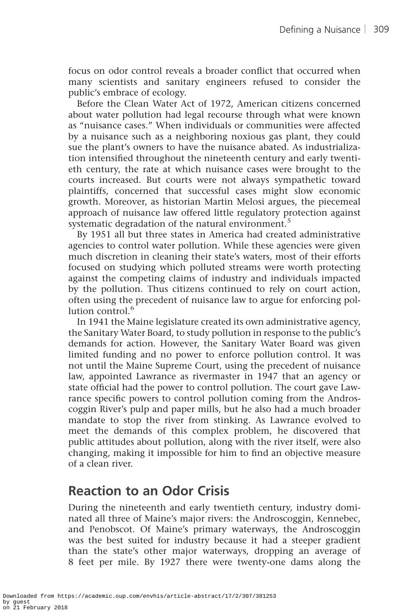focus on odor control reveals a broader conflict that occurred when many scientists and sanitary engineers refused to consider the public's embrace of ecology.

Before the Clean Water Act of 1972, American citizens concerned about water pollution had legal recourse through what were known as "nuisance cases." When individuals or communities were affected by a nuisance such as a neighboring noxious gas plant, they could sue the plant's owners to have the nuisance abated. As industrialization intensified throughout the nineteenth century and early twentieth century, the rate at which nuisance cases were brought to the courts increased. But courts were not always sympathetic toward plaintiffs, concerned that successful cases might slow economic growth. Moreover, as historian Martin Melosi argues, the piecemeal approach of nuisance law offered little regulatory protection against systematic degradation of the natural environment.<sup>5</sup>

By 1951 all but three states in America had created administrative agencies to control water pollution. While these agencies were given much discretion in cleaning their state's waters, most of their efforts focused on studying which polluted streams were worth protecting against the competing claims of industry and individuals impacted by the pollution. Thus citizens continued to rely on court action, often using the precedent of nuisance law to argue for enforcing pollution control.<sup>6</sup>

In 1941 the Maine legislature created its own administrative agency, the Sanitary Water Board, to study pollution in response to the public's demands for action. However, the Sanitary Water Board was given limited funding and no power to enforce pollution control. It was not until the Maine Supreme Court, using the precedent of nuisance law, appointed Lawrance as rivermaster in 1947 that an agency or state official had the power to control pollution. The court gave Lawrance specific powers to control pollution coming from the Androscoggin River's pulp and paper mills, but he also had a much broader mandate to stop the river from stinking. As Lawrance evolved to meet the demands of this complex problem, he discovered that public attitudes about pollution, along with the river itself, were also changing, making it impossible for him to find an objective measure of a clean river.

#### Reaction to an Odor Crisis

During the nineteenth and early twentieth century, industry dominated all three of Maine's major rivers: the Androscoggin, Kennebec, and Penobscot. Of Maine's primary waterways, the Androscoggin was the best suited for industry because it had a steeper gradient than the state's other major waterways, dropping an average of 8 feet per mile. By 1927 there were twenty-one dams along the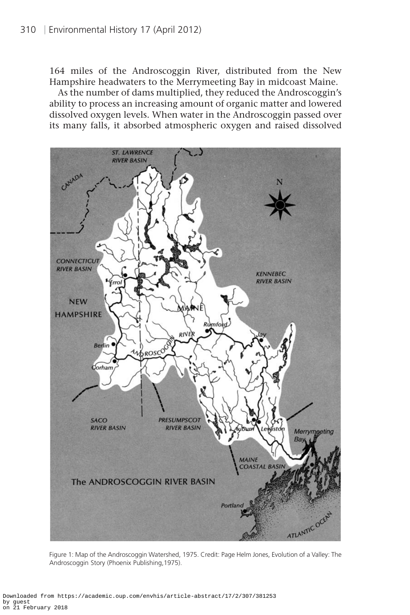164 miles of the Androscoggin River, distributed from the New Hampshire headwaters to the Merrymeeting Bay in midcoast Maine.

As the number of dams multiplied, they reduced the Androscoggin's ability to process an increasing amount of organic matter and lowered dissolved oxygen levels. When water in the Androscoggin passed over its many falls, it absorbed atmospheric oxygen and raised dissolved



Figure 1: Map of the Androscoggin Watershed, 1975. Credit: Page Helm Jones, Evolution of a Valley: The Androscoggin Story (Phoenix Publishing,1975).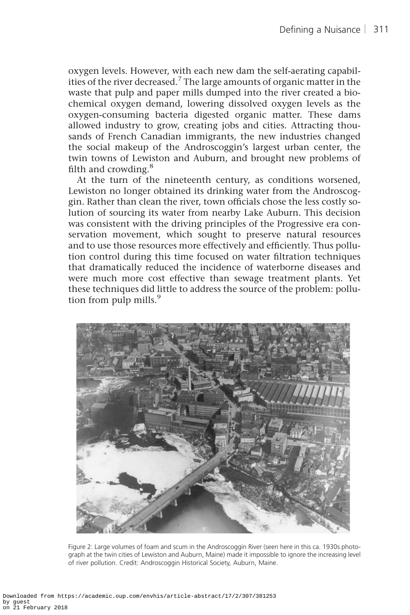oxygen levels. However, with each new dam the self-aerating capabilities of the river decreased.<sup>7</sup> The large amounts of organic matter in the waste that pulp and paper mills dumped into the river created a biochemical oxygen demand, lowering dissolved oxygen levels as the oxygen-consuming bacteria digested organic matter. These dams allowed industry to grow, creating jobs and cities. Attracting thousands of French Canadian immigrants, the new industries changed the social makeup of the Androscoggin's largest urban center, the twin towns of Lewiston and Auburn, and brought new problems of filth and crowding.<sup>8</sup>

At the turn of the nineteenth century, as conditions worsened, Lewiston no longer obtained its drinking water from the Androscoggin. Rather than clean the river, town officials chose the less costly solution of sourcing its water from nearby Lake Auburn. This decision was consistent with the driving principles of the Progressive era conservation movement, which sought to preserve natural resources and to use those resources more effectively and efficiently. Thus pollution control during this time focused on water filtration techniques that dramatically reduced the incidence of waterborne diseases and were much more cost effective than sewage treatment plants. Yet these techniques did little to address the source of the problem: pollution from pulp mills.<sup>9</sup>



Figure 2: Large volumes of foam and scum in the Androscoggin River (seen here in this ca. 1930s photograph at the twin cities of Lewiston and Auburn, Maine) made it impossible to ignore the increasing level of river pollution. Credit: Androscoggin Historical Society, Auburn, Maine.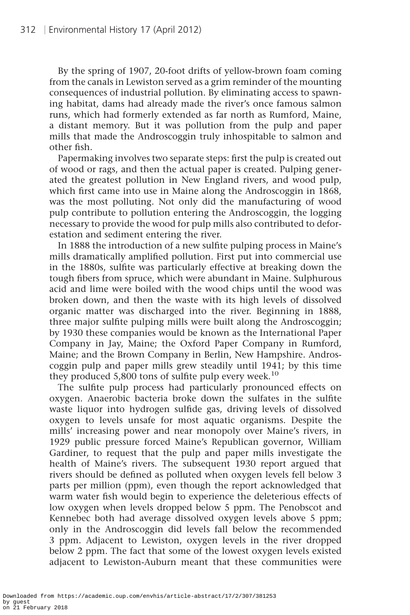By the spring of 1907, 20-foot drifts of yellow-brown foam coming from the canals in Lewiston served as a grim reminder of the mounting consequences of industrial pollution. By eliminating access to spawning habitat, dams had already made the river's once famous salmon runs, which had formerly extended as far north as Rumford, Maine, a distant memory. But it was pollution from the pulp and paper mills that made the Androscoggin truly inhospitable to salmon and other fish.

Papermaking involves two separate steps: first the pulp is created out of wood or rags, and then the actual paper is created. Pulping generated the greatest pollution in New England rivers, and wood pulp, which first came into use in Maine along the Androscoggin in 1868, was the most polluting. Not only did the manufacturing of wood pulp contribute to pollution entering the Androscoggin, the logging necessary to provide the wood for pulp mills also contributed to deforestation and sediment entering the river.

In 1888 the introduction of a new sulfite pulping process in Maine's mills dramatically amplified pollution. First put into commercial use in the 1880s, sulfite was particularly effective at breaking down the tough fibers from spruce, which were abundant in Maine. Sulphurous acid and lime were boiled with the wood chips until the wood was broken down, and then the waste with its high levels of dissolved organic matter was discharged into the river. Beginning in 1888, three major sulfite pulping mills were built along the Androscoggin; by 1930 these companies would be known as the International Paper Company in Jay, Maine; the Oxford Paper Company in Rumford, Maine; and the Brown Company in Berlin, New Hampshire. Androscoggin pulp and paper mills grew steadily until 1941; by this time they produced 5,800 tons of sulfite pulp every week.<sup>10</sup>

The sulfite pulp process had particularly pronounced effects on oxygen. Anaerobic bacteria broke down the sulfates in the sulfite waste liquor into hydrogen sulfide gas, driving levels of dissolved oxygen to levels unsafe for most aquatic organisms. Despite the mills' increasing power and near monopoly over Maine's rivers, in 1929 public pressure forced Maine's Republican governor, William Gardiner, to request that the pulp and paper mills investigate the health of Maine's rivers. The subsequent 1930 report argued that rivers should be defined as polluted when oxygen levels fell below 3 parts per million (ppm), even though the report acknowledged that warm water fish would begin to experience the deleterious effects of low oxygen when levels dropped below 5 ppm. The Penobscot and Kennebec both had average dissolved oxygen levels above 5 ppm; only in the Androscoggin did levels fall below the recommended 3 ppm. Adjacent to Lewiston, oxygen levels in the river dropped below 2 ppm. The fact that some of the lowest oxygen levels existed adjacent to Lewiston-Auburn meant that these communities were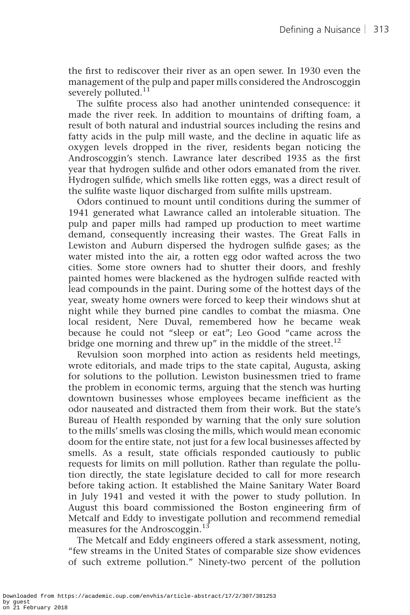the first to rediscover their river as an open sewer. In 1930 even the management of the pulp and paper mills considered the Androscoggin severely polluted.<sup>11</sup>

The sulfite process also had another unintended consequence: it made the river reek. In addition to mountains of drifting foam, a result of both natural and industrial sources including the resins and fatty acids in the pulp mill waste, and the decline in aquatic life as oxygen levels dropped in the river, residents began noticing the Androscoggin's stench. Lawrance later described 1935 as the first year that hydrogen sulfide and other odors emanated from the river. Hydrogen sulfide, which smells like rotten eggs, was a direct result of the sulfite waste liquor discharged from sulfite mills upstream.

Odors continued to mount until conditions during the summer of 1941 generated what Lawrance called an intolerable situation. The pulp and paper mills had ramped up production to meet wartime demand, consequently increasing their wastes. The Great Falls in Lewiston and Auburn dispersed the hydrogen sulfide gases; as the water misted into the air, a rotten egg odor wafted across the two cities. Some store owners had to shutter their doors, and freshly painted homes were blackened as the hydrogen sulfide reacted with lead compounds in the paint. During some of the hottest days of the year, sweaty home owners were forced to keep their windows shut at night while they burned pine candles to combat the miasma. One local resident, Nere Duval, remembered how he became weak because he could not "sleep or eat"; Leo Good "came across the bridge one morning and threw up" in the middle of the street.<sup>12</sup>

Revulsion soon morphed into action as residents held meetings, wrote editorials, and made trips to the state capital, Augusta, asking for solutions to the pollution. Lewiston businessmen tried to frame the problem in economic terms, arguing that the stench was hurting downtown businesses whose employees became inefficient as the odor nauseated and distracted them from their work. But the state's Bureau of Health responded by warning that the only sure solution to the mills' smells was closing the mills, which would mean economic doom for the entire state, not just for a few local businesses affected by smells. As a result, state officials responded cautiously to public requests for limits on mill pollution. Rather than regulate the pollution directly, the state legislature decided to call for more research before taking action. It established the Maine Sanitary Water Board in July 1941 and vested it with the power to study pollution. In August this board commissioned the Boston engineering firm of Metcalf and Eddy to investigate pollution and recommend remedial measures for the Androscoggin.<sup>13</sup>

The Metcalf and Eddy engineers offered a stark assessment, noting, "few streams in the United States of comparable size show evidences of such extreme pollution." Ninety-two percent of the pollution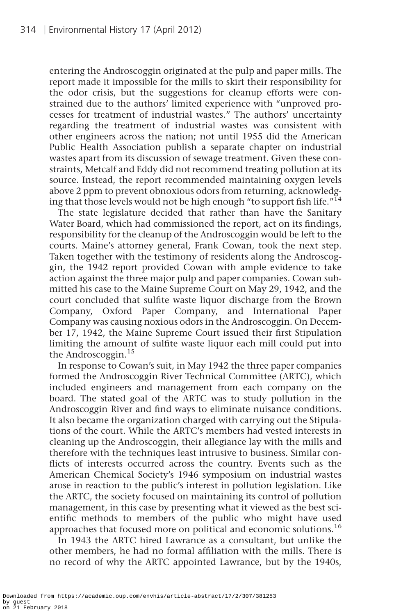entering the Androscoggin originated at the pulp and paper mills. The report made it impossible for the mills to skirt their responsibility for the odor crisis, but the suggestions for cleanup efforts were constrained due to the authors' limited experience with "unproved processes for treatment of industrial wastes." The authors' uncertainty regarding the treatment of industrial wastes was consistent with other engineers across the nation; not until 1955 did the American Public Health Association publish a separate chapter on industrial wastes apart from its discussion of sewage treatment. Given these constraints, Metcalf and Eddy did not recommend treating pollution at its source. Instead, the report recommended maintaining oxygen levels above 2 ppm to prevent obnoxious odors from returning, acknowledging that those levels would not be high enough "to support fish life."<sup>14</sup>

The state legislature decided that rather than have the Sanitary Water Board, which had commissioned the report, act on its findings, responsibility for the cleanup of the Androscoggin would be left to the courts. Maine's attorney general, Frank Cowan, took the next step. Taken together with the testimony of residents along the Androscoggin, the 1942 report provided Cowan with ample evidence to take action against the three major pulp and paper companies. Cowan submitted his case to the Maine Supreme Court on May 29, 1942, and the court concluded that sulfite waste liquor discharge from the Brown Company, Oxford Paper Company, and International Paper Company was causing noxious odors in the Androscoggin. On December 17, 1942, the Maine Supreme Court issued their first Stipulation limiting the amount of sulfite waste liquor each mill could put into the Androscoggin.<sup>15</sup>

In response to Cowan's suit, in May 1942 the three paper companies formed the Androscoggin River Technical Committee (ARTC), which included engineers and management from each company on the board. The stated goal of the ARTC was to study pollution in the Androscoggin River and find ways to eliminate nuisance conditions. It also became the organization charged with carrying out the Stipulations of the court. While the ARTC's members had vested interests in cleaning up the Androscoggin, their allegiance lay with the mills and therefore with the techniques least intrusive to business. Similar conflicts of interests occurred across the country. Events such as the American Chemical Society's 1946 symposium on industrial wastes arose in reaction to the public's interest in pollution legislation. Like the ARTC, the society focused on maintaining its control of pollution management, in this case by presenting what it viewed as the best scientific methods to members of the public who might have used approaches that focused more on political and economic solutions.<sup>16</sup>

In 1943 the ARTC hired Lawrance as a consultant, but unlike the other members, he had no formal affiliation with the mills. There is no record of why the ARTC appointed Lawrance, but by the 1940s,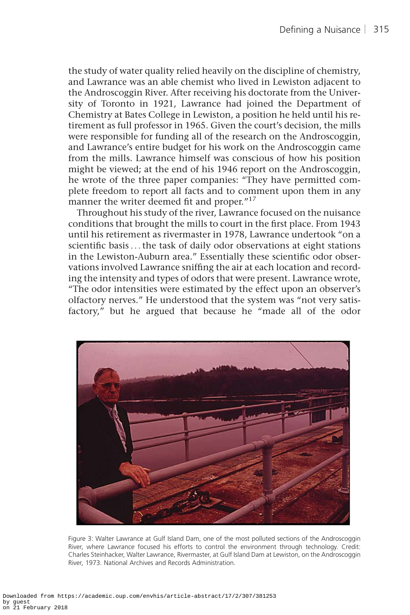the study of water quality relied heavily on the discipline of chemistry, and Lawrance was an able chemist who lived in Lewiston adjacent to the Androscoggin River. After receiving his doctorate from the University of Toronto in 1921, Lawrance had joined the Department of Chemistry at Bates College in Lewiston, a position he held until his retirement as full professor in 1965. Given the court's decision, the mills were responsible for funding all of the research on the Androscoggin, and Lawrance's entire budget for his work on the Androscoggin came from the mills. Lawrance himself was conscious of how his position might be viewed; at the end of his 1946 report on the Androscoggin, he wrote of the three paper companies: "They have permitted complete freedom to report all facts and to comment upon them in any manner the writer deemed fit and proper."<sup>17</sup>

Throughout his study of the river, Lawrance focused on the nuisance conditions that brought the mills to court in the first place. From 1943 until his retirement as rivermaster in 1978, Lawrance undertook "on a scientific basis ... the task of daily odor observations at eight stations in the Lewiston-Auburn area." Essentially these scientific odor observations involved Lawrance sniffing the air at each location and recording the intensity and types of odors that were present. Lawrance wrote, "The odor intensities were estimated by the effect upon an observer's olfactory nerves." He understood that the system was "not very satisfactory," but he argued that because he "made all of the odor



Figure 3: Walter Lawrance at Gulf Island Dam, one of the most polluted sections of the Androscoggin River, where Lawrance focused his efforts to control the environment through technology. Credit: Charles Steinhacker, Walter Lawrance, Rivermaster, at Gulf Island Dam at Lewiston, on the Androscoggin River, 1973. National Archives and Records Administration.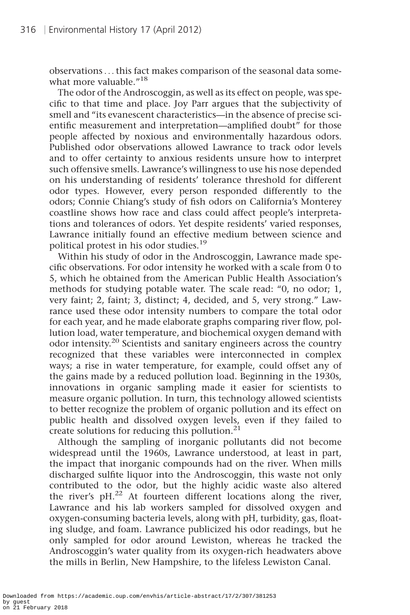observations ... this fact makes comparison of the seasonal data somewhat more valuable."<sup>18</sup>

The odor of the Androscoggin, as well as its effect on people, was specific to that time and place. Joy Parr argues that the subjectivity of smell and "its evanescent characteristics—in the absence of precise scientific measurement and interpretation—amplified doubt" for those people affected by noxious and environmentally hazardous odors. Published odor observations allowed Lawrance to track odor levels and to offer certainty to anxious residents unsure how to interpret such offensive smells. Lawrance's willingness to use his nose depended on his understanding of residents' tolerance threshold for different odor types. However, every person responded differently to the odors; Connie Chiang's study of fish odors on California's Monterey coastline shows how race and class could affect people's interpretations and tolerances of odors. Yet despite residents' varied responses, Lawrance initially found an effective medium between science and political protest in his odor studies.<sup>19</sup>

Within his study of odor in the Androscoggin, Lawrance made specific observations. For odor intensity he worked with a scale from 0 to 5, which he obtained from the American Public Health Association's methods for studying potable water. The scale read: "0, no odor; 1, very faint; 2, faint; 3, distinct; 4, decided, and 5, very strong." Lawrance used these odor intensity numbers to compare the total odor for each year, and he made elaborate graphs comparing river flow, pollution load, water temperature, and biochemical oxygen demand with odor intensity.<sup>20</sup> Scientists and sanitary engineers across the country recognized that these variables were interconnected in complex ways; a rise in water temperature, for example, could offset any of the gains made by a reduced pollution load. Beginning in the 1930s, innovations in organic sampling made it easier for scientists to measure organic pollution. In turn, this technology allowed scientists to better recognize the problem of organic pollution and its effect on public health and dissolved oxygen levels, even if they failed to create solutions for reducing this pollution.<sup>21</sup>

Although the sampling of inorganic pollutants did not become widespread until the 1960s, Lawrance understood, at least in part, the impact that inorganic compounds had on the river. When mills discharged sulfite liquor into the Androscoggin, this waste not only contributed to the odor, but the highly acidic waste also altered the river's  $pH<sup>22</sup>$  At fourteen different locations along the river, Lawrance and his lab workers sampled for dissolved oxygen and oxygen-consuming bacteria levels, along with pH, turbidity, gas, floating sludge, and foam. Lawrance publicized his odor readings, but he only sampled for odor around Lewiston, whereas he tracked the Androscoggin's water quality from its oxygen-rich headwaters above the mills in Berlin, New Hampshire, to the lifeless Lewiston Canal.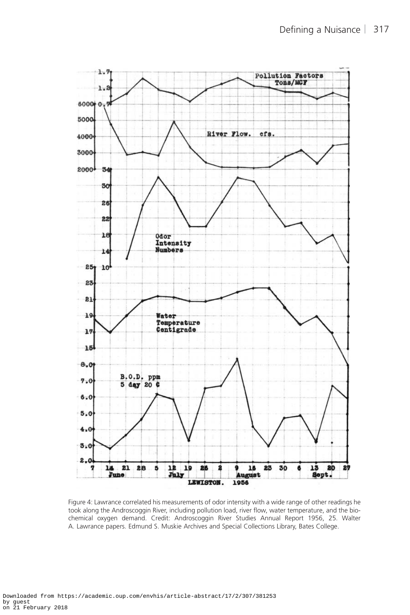

Figure 4: Lawrance correlated his measurements of odor intensity with a wide range of other readings he took along the Androscoggin River, including pollution load, river flow, water temperature, and the biochemical oxygen demand. Credit: Androscoggin River Studies Annual Report 1956, 25. Walter A. Lawrance papers. Edmund S. Muskie Archives and Special Collections Library, Bates College.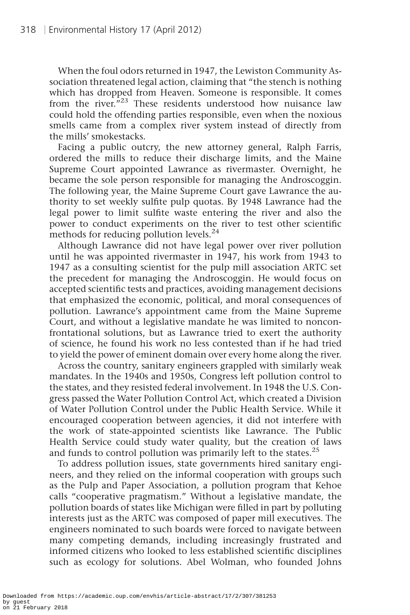When the foul odors returned in 1947, the Lewiston Community Association threatened legal action, claiming that "the stench is nothing which has dropped from Heaven. Someone is responsible. It comes from the river.<sup>"23</sup> These residents understood how nuisance law could hold the offending parties responsible, even when the noxious smells came from a complex river system instead of directly from the mills' smokestacks.

Facing a public outcry, the new attorney general, Ralph Farris, ordered the mills to reduce their discharge limits, and the Maine Supreme Court appointed Lawrance as rivermaster. Overnight, he became the sole person responsible for managing the Androscoggin. The following year, the Maine Supreme Court gave Lawrance the authority to set weekly sulfite pulp quotas. By 1948 Lawrance had the legal power to limit sulfite waste entering the river and also the power to conduct experiments on the river to test other scientific methods for reducing pollution levels.<sup>24</sup>

Although Lawrance did not have legal power over river pollution until he was appointed rivermaster in 1947, his work from 1943 to 1947 as a consulting scientist for the pulp mill association ARTC set the precedent for managing the Androscoggin. He would focus on accepted scientific tests and practices, avoiding management decisions that emphasized the economic, political, and moral consequences of pollution. Lawrance's appointment came from the Maine Supreme Court, and without a legislative mandate he was limited to nonconfrontational solutions, but as Lawrance tried to exert the authority of science, he found his work no less contested than if he had tried to yield the power of eminent domain over every home along the river.

Across the country, sanitary engineers grappled with similarly weak mandates. In the 1940s and 1950s, Congress left pollution control to the states, and they resisted federal involvement. In 1948 the U.S. Congress passed the Water Pollution Control Act, which created a Division of Water Pollution Control under the Public Health Service. While it encouraged cooperation between agencies, it did not interfere with the work of state-appointed scientists like Lawrance. The Public Health Service could study water quality, but the creation of laws and funds to control pollution was primarily left to the states.<sup>25</sup>

To address pollution issues, state governments hired sanitary engineers, and they relied on the informal cooperation with groups such as the Pulp and Paper Association, a pollution program that Kehoe calls "cooperative pragmatism." Without a legislative mandate, the pollution boards of states like Michigan were filled in part by polluting interests just as the ARTC was composed of paper mill executives. The engineers nominated to such boards were forced to navigate between many competing demands, including increasingly frustrated and informed citizens who looked to less established scientific disciplines such as ecology for solutions. Abel Wolman, who founded Johns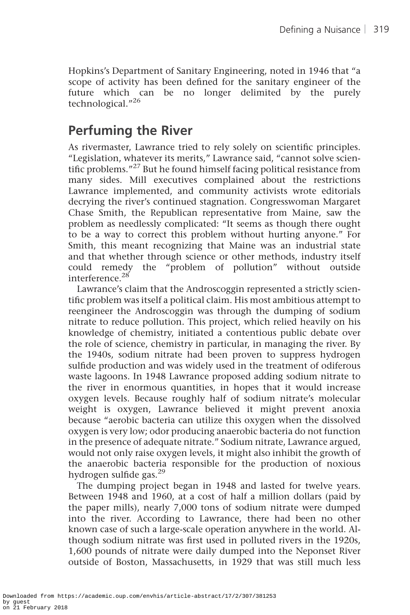Hopkins's Department of Sanitary Engineering, noted in 1946 that "a scope of activity has been defined for the sanitary engineer of the future which can be no longer delimited by the purely technological."<sup>26</sup>

# Perfuming the River

As rivermaster, Lawrance tried to rely solely on scientific principles. "Legislation, whatever its merits," Lawrance said, "cannot solve scientific problems."<sup>27</sup> But he found himself facing political resistance from many sides. Mill executives complained about the restrictions Lawrance implemented, and community activists wrote editorials decrying the river's continued stagnation. Congresswoman Margaret Chase Smith, the Republican representative from Maine, saw the problem as needlessly complicated: "It seems as though there ought to be a way to correct this problem without hurting anyone." For Smith, this meant recognizing that Maine was an industrial state and that whether through science or other methods, industry itself could remedy the "problem of pollution" without outside interference  $^{28}$ 

Lawrance's claim that the Androscoggin represented a strictly scientific problem was itself a political claim. His most ambitious attempt to reengineer the Androscoggin was through the dumping of sodium nitrate to reduce pollution. This project, which relied heavily on his knowledge of chemistry, initiated a contentious public debate over the role of science, chemistry in particular, in managing the river. By the 1940s, sodium nitrate had been proven to suppress hydrogen sulfide production and was widely used in the treatment of odiferous waste lagoons. In 1948 Lawrance proposed adding sodium nitrate to the river in enormous quantities, in hopes that it would increase oxygen levels. Because roughly half of sodium nitrate's molecular weight is oxygen, Lawrance believed it might prevent anoxia because "aerobic bacteria can utilize this oxygen when the dissolved oxygen is very low; odor producing anaerobic bacteria do not function in the presence of adequate nitrate." Sodium nitrate, Lawrance argued, would not only raise oxygen levels, it might also inhibit the growth of the anaerobic bacteria responsible for the production of noxious hydrogen sulfide gas.<sup>29</sup>

The dumping project began in 1948 and lasted for twelve years. Between 1948 and 1960, at a cost of half a million dollars (paid by the paper mills), nearly 7,000 tons of sodium nitrate were dumped into the river. According to Lawrance, there had been no other known case of such a large-scale operation anywhere in the world. Although sodium nitrate was first used in polluted rivers in the 1920s, 1,600 pounds of nitrate were daily dumped into the Neponset River outside of Boston, Massachusetts, in 1929 that was still much less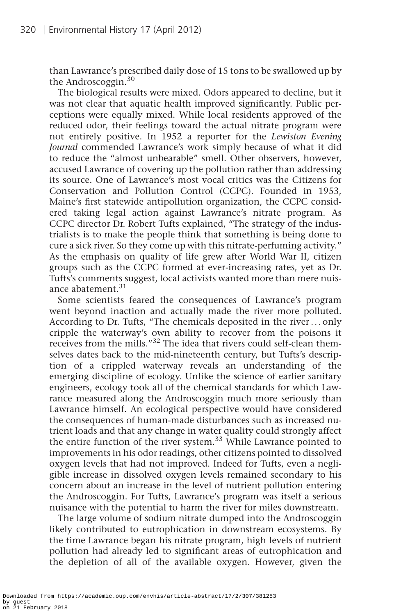than Lawrance's prescribed daily dose of 15 tons to be swallowed up by the Androscoggin.<sup>30</sup>

The biological results were mixed. Odors appeared to decline, but it was not clear that aquatic health improved significantly. Public perceptions were equally mixed. While local residents approved of the reduced odor, their feelings toward the actual nitrate program were not entirely positive. In 1952 a reporter for the Lewiston Evening Journal commended Lawrance's work simply because of what it did to reduce the "almost unbearable" smell. Other observers, however, accused Lawrance of covering up the pollution rather than addressing its source. One of Lawrance's most vocal critics was the Citizens for Conservation and Pollution Control (CCPC). Founded in 1953, Maine's first statewide antipollution organization, the CCPC considered taking legal action against Lawrance's nitrate program. As CCPC director Dr. Robert Tufts explained, "The strategy of the industrialists is to make the people think that something is being done to cure a sick river. So they come up with this nitrate-perfuming activity." As the emphasis on quality of life grew after World War II, citizen groups such as the CCPC formed at ever-increasing rates, yet as Dr. Tufts's comments suggest, local activists wanted more than mere nuisance abatement.<sup>31</sup>

Some scientists feared the consequences of Lawrance's program went beyond inaction and actually made the river more polluted. According to Dr. Tufts, "The chemicals deposited in the river ... only cripple the waterway's own ability to recover from the poisons it receives from the mills."<sup>32</sup> The idea that rivers could self-clean themselves dates back to the mid-nineteenth century, but Tufts's description of a crippled waterway reveals an understanding of the emerging discipline of ecology. Unlike the science of earlier sanitary engineers, ecology took all of the chemical standards for which Lawrance measured along the Androscoggin much more seriously than Lawrance himself. An ecological perspective would have considered the consequences of human-made disturbances such as increased nutrient loads and that any change in water quality could strongly affect the entire function of the river system.<sup>33</sup> While Lawrance pointed to improvements in his odor readings, other citizens pointed to dissolved oxygen levels that had not improved. Indeed for Tufts, even a negligible increase in dissolved oxygen levels remained secondary to his concern about an increase in the level of nutrient pollution entering the Androscoggin. For Tufts, Lawrance's program was itself a serious nuisance with the potential to harm the river for miles downstream.

The large volume of sodium nitrate dumped into the Androscoggin likely contributed to eutrophication in downstream ecosystems. By the time Lawrance began his nitrate program, high levels of nutrient pollution had already led to significant areas of eutrophication and the depletion of all of the available oxygen. However, given the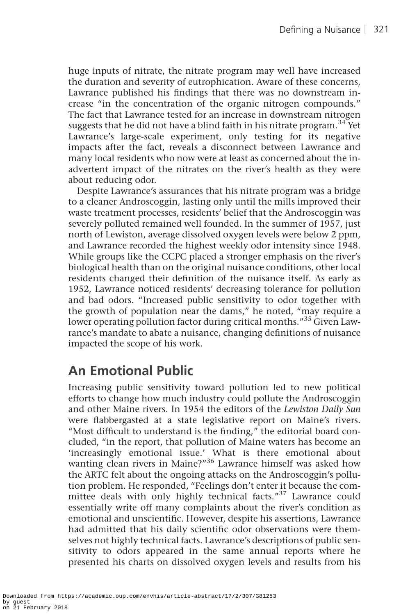huge inputs of nitrate, the nitrate program may well have increased the duration and severity of eutrophication. Aware of these concerns, Lawrance published his findings that there was no downstream increase "in the concentration of the organic nitrogen compounds." The fact that Lawrance tested for an increase in downstream nitrogen suggests that he did not have a blind faith in his nitrate program.<sup>34</sup> Yet Lawrance's large-scale experiment, only testing for its negative impacts after the fact, reveals a disconnect between Lawrance and many local residents who now were at least as concerned about the inadvertent impact of the nitrates on the river's health as they were about reducing odor.

Despite Lawrance's assurances that his nitrate program was a bridge to a cleaner Androscoggin, lasting only until the mills improved their waste treatment processes, residents' belief that the Androscoggin was severely polluted remained well founded. In the summer of 1957, just north of Lewiston, average dissolved oxygen levels were below 2 ppm, and Lawrance recorded the highest weekly odor intensity since 1948. While groups like the CCPC placed a stronger emphasis on the river's biological health than on the original nuisance conditions, other local residents changed their definition of the nuisance itself. As early as 1952, Lawrance noticed residents' decreasing tolerance for pollution and bad odors. "Increased public sensitivity to odor together with the growth of population near the dams," he noted, "may require a lower operating pollution factor during critical months."<sup>35</sup> Given Lawrance's mandate to abate a nuisance, changing definitions of nuisance impacted the scope of his work.

## An Emotional Public

Increasing public sensitivity toward pollution led to new political efforts to change how much industry could pollute the Androscoggin and other Maine rivers. In 1954 the editors of the Lewiston Daily Sun were flabbergasted at a state legislative report on Maine's rivers. "Most difficult to understand is the finding," the editorial board concluded, "in the report, that pollution of Maine waters has become an 'increasingly emotional issue.' What is there emotional about wanting clean rivers in Maine?"<sup>36</sup> Lawrance himself was asked how the ARTC felt about the ongoing attacks on the Androscoggin's pollution problem. He responded, "Feelings don't enter it because the committee deals with only highly technical facts."<sup>37</sup> Lawrance could essentially write off many complaints about the river's condition as emotional and unscientific. However, despite his assertions, Lawrance had admitted that his daily scientific odor observations were themselves not highly technical facts. Lawrance's descriptions of public sensitivity to odors appeared in the same annual reports where he presented his charts on dissolved oxygen levels and results from his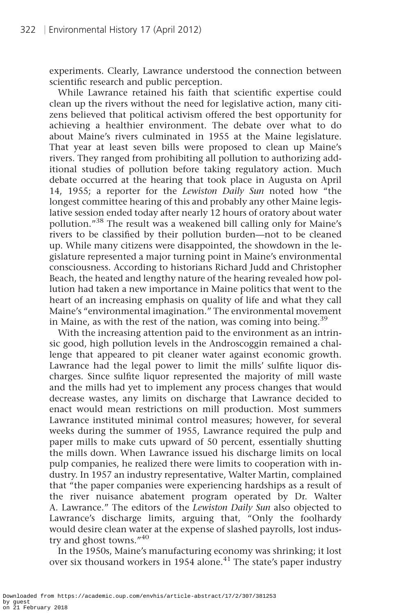experiments. Clearly, Lawrance understood the connection between scientific research and public perception.

While Lawrance retained his faith that scientific expertise could clean up the rivers without the need for legislative action, many citizens believed that political activism offered the best opportunity for achieving a healthier environment. The debate over what to do about Maine's rivers culminated in 1955 at the Maine legislature. That year at least seven bills were proposed to clean up Maine's rivers. They ranged from prohibiting all pollution to authorizing additional studies of pollution before taking regulatory action. Much debate occurred at the hearing that took place in Augusta on April 14, 1955; a reporter for the Lewiston Daily Sun noted how "the longest committee hearing of this and probably any other Maine legislative session ended today after nearly 12 hours of oratory about water pollution."<sup>38</sup> The result was a weakened bill calling only for Maine's rivers to be classified by their pollution burden—not to be cleaned up. While many citizens were disappointed, the showdown in the legislature represented a major turning point in Maine's environmental consciousness. According to historians Richard Judd and Christopher Beach, the heated and lengthy nature of the hearing revealed how pollution had taken a new importance in Maine politics that went to the heart of an increasing emphasis on quality of life and what they call Maine's "environmental imagination." The environmental movement in Maine, as with the rest of the nation, was coming into being.<sup>39</sup>

With the increasing attention paid to the environment as an intrinsic good, high pollution levels in the Androscoggin remained a challenge that appeared to pit cleaner water against economic growth. Lawrance had the legal power to limit the mills' sulfite liquor discharges. Since sulfite liquor represented the majority of mill waste and the mills had yet to implement any process changes that would decrease wastes, any limits on discharge that Lawrance decided to enact would mean restrictions on mill production. Most summers Lawrance instituted minimal control measures; however, for several weeks during the summer of 1955, Lawrance required the pulp and paper mills to make cuts upward of 50 percent, essentially shutting the mills down. When Lawrance issued his discharge limits on local pulp companies, he realized there were limits to cooperation with industry. In 1957 an industry representative, Walter Martin, complained that "the paper companies were experiencing hardships as a result of the river nuisance abatement program operated by Dr. Walter A. Lawrance." The editors of the Lewiston Daily Sun also objected to Lawrance's discharge limits, arguing that, "Only the foolhardy would desire clean water at the expense of slashed payrolls, lost industry and ghost towns."<sup>40</sup>

In the 1950s, Maine's manufacturing economy was shrinking; it lost over six thousand workers in 1954 alone.<sup>41</sup> The state's paper industry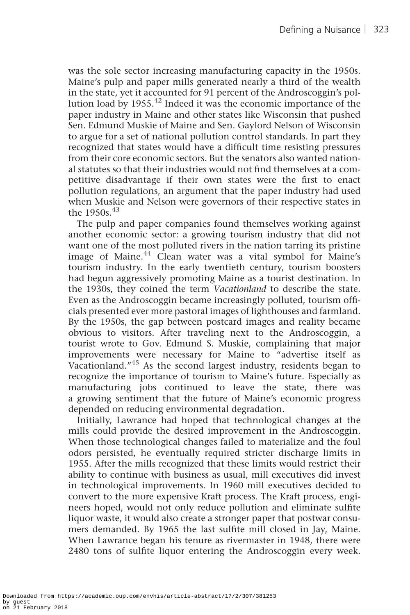was the sole sector increasing manufacturing capacity in the 1950s. Maine's pulp and paper mills generated nearly a third of the wealth in the state, yet it accounted for 91 percent of the Androscoggin's pollution load by 1955. $42$  Indeed it was the economic importance of the paper industry in Maine and other states like Wisconsin that pushed Sen. Edmund Muskie of Maine and Sen. Gaylord Nelson of Wisconsin to argue for a set of national pollution control standards. In part they recognized that states would have a difficult time resisting pressures from their core economic sectors. But the senators also wanted national statutes so that their industries would not find themselves at a competitive disadvantage if their own states were the first to enact pollution regulations, an argument that the paper industry had used when Muskie and Nelson were governors of their respective states in the 1950s.<sup>43</sup>

The pulp and paper companies found themselves working against another economic sector: a growing tourism industry that did not want one of the most polluted rivers in the nation tarring its pristine image of Maine.<sup>44</sup> Clean water was a vital symbol for Maine's tourism industry. In the early twentieth century, tourism boosters had begun aggressively promoting Maine as a tourist destination. In the 1930s, they coined the term Vacationland to describe the state. Even as the Androscoggin became increasingly polluted, tourism officials presented ever more pastoral images of lighthouses and farmland. By the 1950s, the gap between postcard images and reality became obvious to visitors. After traveling next to the Androscoggin, a tourist wrote to Gov. Edmund S. Muskie, complaining that major improvements were necessary for Maine to "advertise itself as Vacationland."<sup>45</sup> As the second largest industry, residents began to recognize the importance of tourism to Maine's future. Especially as manufacturing jobs continued to leave the state, there was a growing sentiment that the future of Maine's economic progress depended on reducing environmental degradation.

Initially, Lawrance had hoped that technological changes at the mills could provide the desired improvement in the Androscoggin. When those technological changes failed to materialize and the foul odors persisted, he eventually required stricter discharge limits in 1955. After the mills recognized that these limits would restrict their ability to continue with business as usual, mill executives did invest in technological improvements. In 1960 mill executives decided to convert to the more expensive Kraft process. The Kraft process, engineers hoped, would not only reduce pollution and eliminate sulfite liquor waste, it would also create a stronger paper that postwar consumers demanded. By 1965 the last sulfite mill closed in Jay, Maine. When Lawrance began his tenure as rivermaster in 1948, there were 2480 tons of sulfite liquor entering the Androscoggin every week.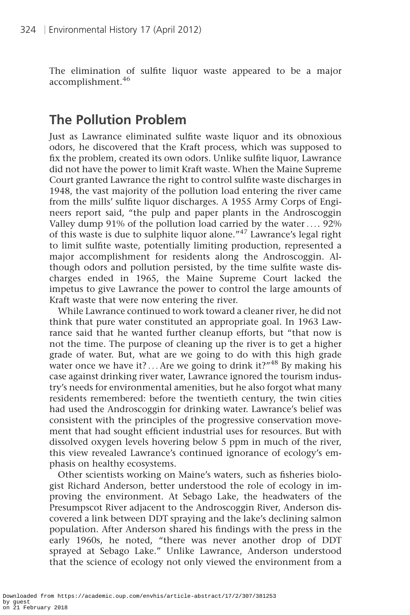The elimination of sulfite liquor waste appeared to be a major accomplishment.<sup>46</sup>

### The Pollution Problem

Just as Lawrance eliminated sulfite waste liquor and its obnoxious odors, he discovered that the Kraft process, which was supposed to fix the problem, created its own odors. Unlike sulfite liquor, Lawrance did not have the power to limit Kraft waste. When the Maine Supreme Court granted Lawrance the right to control sulfite waste discharges in 1948, the vast majority of the pollution load entering the river came from the mills' sulfite liquor discharges. A 1955 Army Corps of Engineers report said, "the pulp and paper plants in the Androscoggin Valley dump 91% of the pollution load carried by the water .... 92% of this waste is due to sulphite liquor alone."<sup>47</sup> Lawrance's legal right to limit sulfite waste, potentially limiting production, represented a major accomplishment for residents along the Androscoggin. Although odors and pollution persisted, by the time sulfite waste discharges ended in 1965, the Maine Supreme Court lacked the impetus to give Lawrance the power to control the large amounts of Kraft waste that were now entering the river.

While Lawrance continued to work toward a cleaner river, he did not think that pure water constituted an appropriate goal. In 1963 Lawrance said that he wanted further cleanup efforts, but "that now is not the time. The purpose of cleaning up the river is to get a higher grade of water. But, what are we going to do with this high grade water once we have it? ... Are we going to drink it?"<sup>48</sup> By making his case against drinking river water, Lawrance ignored the tourism industry's needs for environmental amenities, but he also forgot what many residents remembered: before the twentieth century, the twin cities had used the Androscoggin for drinking water. Lawrance's belief was consistent with the principles of the progressive conservation movement that had sought efficient industrial uses for resources. But with dissolved oxygen levels hovering below 5 ppm in much of the river, this view revealed Lawrance's continued ignorance of ecology's emphasis on healthy ecosystems.

Other scientists working on Maine's waters, such as fisheries biologist Richard Anderson, better understood the role of ecology in improving the environment. At Sebago Lake, the headwaters of the Presumpscot River adjacent to the Androscoggin River, Anderson discovered a link between DDT spraying and the lake's declining salmon population. After Anderson shared his findings with the press in the early 1960s, he noted, "there was never another drop of DDT sprayed at Sebago Lake." Unlike Lawrance, Anderson understood that the science of ecology not only viewed the environment from a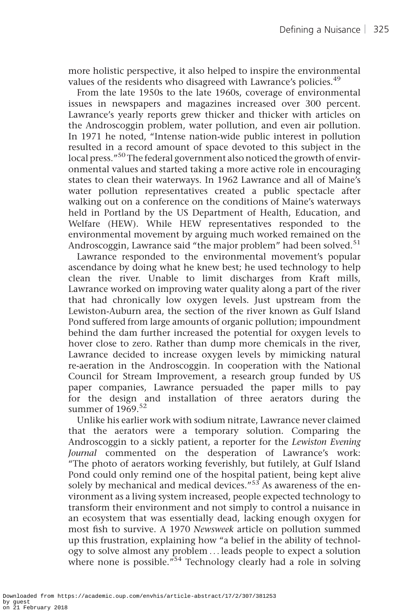more holistic perspective, it also helped to inspire the environmental values of the residents who disagreed with Lawrance's policies.<sup>49</sup>

From the late 1950s to the late 1960s, coverage of environmental issues in newspapers and magazines increased over 300 percent. Lawrance's yearly reports grew thicker and thicker with articles on the Androscoggin problem, water pollution, and even air pollution. In 1971 he noted, "Intense nation-wide public interest in pollution resulted in a record amount of space devoted to this subject in the local press."<sup>50</sup> The federal government also noticed the growth of environmental values and started taking a more active role in encouraging states to clean their waterways. In 1962 Lawrance and all of Maine's water pollution representatives created a public spectacle after walking out on a conference on the conditions of Maine's waterways held in Portland by the US Department of Health, Education, and Welfare (HEW). While HEW representatives responded to the environmental movement by arguing much worked remained on the Androscoggin, Lawrance said "the major problem" had been solved.<sup>51</sup>

Lawrance responded to the environmental movement's popular ascendance by doing what he knew best; he used technology to help clean the river. Unable to limit discharges from Kraft mills, Lawrance worked on improving water quality along a part of the river that had chronically low oxygen levels. Just upstream from the Lewiston-Auburn area, the section of the river known as Gulf Island Pond suffered from large amounts of organic pollution; impoundment behind the dam further increased the potential for oxygen levels to hover close to zero. Rather than dump more chemicals in the river, Lawrance decided to increase oxygen levels by mimicking natural re-aeration in the Androscoggin. In cooperation with the National Council for Stream Improvement, a research group funded by US paper companies, Lawrance persuaded the paper mills to pay for the design and installation of three aerators during the summer of 1969.<sup>52</sup>

Unlike his earlier work with sodium nitrate, Lawrance never claimed that the aerators were a temporary solution. Comparing the Androscoggin to a sickly patient, a reporter for the Lewiston Evening Journal commented on the desperation of Lawrance's work: "The photo of aerators working feverishly, but futilely, at Gulf Island Pond could only remind one of the hospital patient, being kept alive solely by mechanical and medical devices."<sup>53</sup> As awareness of the environment as a living system increased, people expected technology to transform their environment and not simply to control a nuisance in an ecosystem that was essentially dead, lacking enough oxygen for most fish to survive. A 1970 Newsweek article on pollution summed up this frustration, explaining how "a belief in the ability of technology to solve almost any problem ... leads people to expect a solution where none is possible." $54$  Technology clearly had a role in solving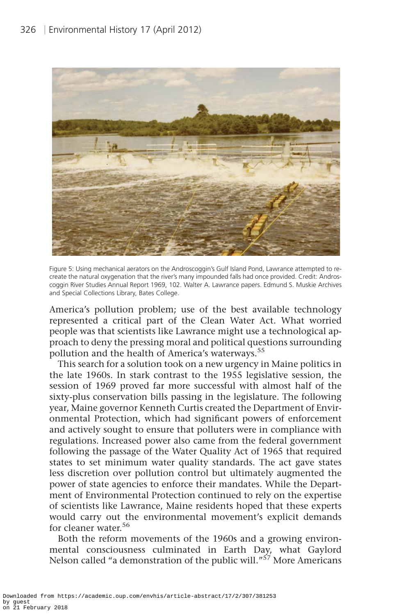

Figure 5: Using mechanical aerators on the Androscoggin's Gulf Island Pond, Lawrance attempted to recreate the natural oxygenation that the river's many impounded falls had once provided. Credit: Androscoggin River Studies Annual Report 1969, 102. Walter A. Lawrance papers. Edmund S. Muskie Archives and Special Collections Library, Bates College.

America's pollution problem; use of the best available technology represented a critical part of the Clean Water Act. What worried people was that scientists like Lawrance might use a technological approach to deny the pressing moral and political questions surrounding pollution and the health of America's waterways.<sup>55</sup>

This search for a solution took on a new urgency in Maine politics in the late 1960s. In stark contrast to the 1955 legislative session, the session of 1969 proved far more successful with almost half of the sixty-plus conservation bills passing in the legislature. The following year, Maine governor Kenneth Curtis created the Department of Environmental Protection, which had significant powers of enforcement and actively sought to ensure that polluters were in compliance with regulations. Increased power also came from the federal government following the passage of the Water Quality Act of 1965 that required states to set minimum water quality standards. The act gave states less discretion over pollution control but ultimately augmented the power of state agencies to enforce their mandates. While the Department of Environmental Protection continued to rely on the expertise of scientists like Lawrance, Maine residents hoped that these experts would carry out the environmental movement's explicit demands for cleaner water.<sup>56</sup>

Both the reform movements of the 1960s and a growing environmental consciousness culminated in Earth Day, what Gaylord Nelson called "a demonstration of the public will."<sup>57</sup> More Americans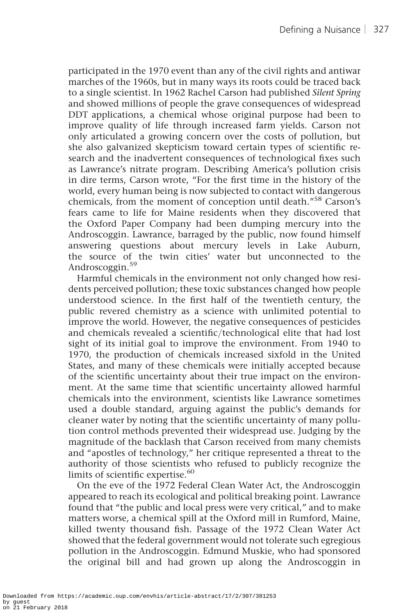participated in the 1970 event than any of the civil rights and antiwar marches of the 1960s, but in many ways its roots could be traced back to a single scientist. In 1962 Rachel Carson had published Silent Spring and showed millions of people the grave consequences of widespread DDT applications, a chemical whose original purpose had been to improve quality of life through increased farm yields. Carson not only articulated a growing concern over the costs of pollution, but she also galvanized skepticism toward certain types of scientific research and the inadvertent consequences of technological fixes such as Lawrance's nitrate program. Describing America's pollution crisis in dire terms, Carson wrote, "For the first time in the history of the world, every human being is now subjected to contact with dangerous chemicals, from the moment of conception until death."<sup>58</sup> Carson's fears came to life for Maine residents when they discovered that the Oxford Paper Company had been dumping mercury into the Androscoggin. Lawrance, barraged by the public, now found himself answering questions about mercury levels in Lake Auburn, the source of the twin cities' water but unconnected to the Androscoggin.<sup>59</sup>

Harmful chemicals in the environment not only changed how residents perceived pollution; these toxic substances changed how people understood science. In the first half of the twentieth century, the public revered chemistry as a science with unlimited potential to improve the world. However, the negative consequences of pesticides and chemicals revealed a scientific/technological elite that had lost sight of its initial goal to improve the environment. From 1940 to 1970, the production of chemicals increased sixfold in the United States, and many of these chemicals were initially accepted because of the scientific uncertainty about their true impact on the environment. At the same time that scientific uncertainty allowed harmful chemicals into the environment, scientists like Lawrance sometimes used a double standard, arguing against the public's demands for cleaner water by noting that the scientific uncertainty of many pollution control methods prevented their widespread use. Judging by the magnitude of the backlash that Carson received from many chemists and "apostles of technology," her critique represented a threat to the authority of those scientists who refused to publicly recognize the limits of scientific expertise.<sup>60</sup>

On the eve of the 1972 Federal Clean Water Act, the Androscoggin appeared to reach its ecological and political breaking point. Lawrance found that "the public and local press were very critical," and to make matters worse, a chemical spill at the Oxford mill in Rumford, Maine, killed twenty thousand fish. Passage of the 1972 Clean Water Act showed that the federal government would not tolerate such egregious pollution in the Androscoggin. Edmund Muskie, who had sponsored the original bill and had grown up along the Androscoggin in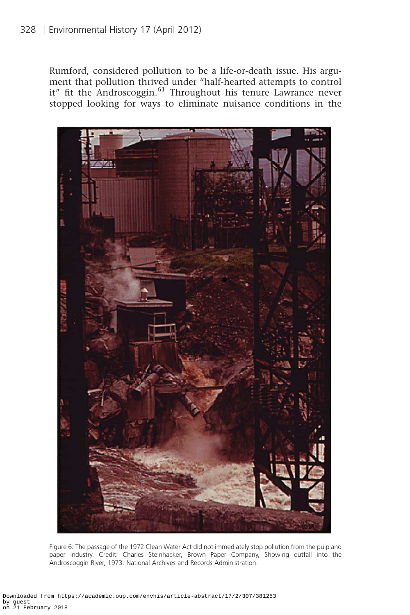Rumford, considered pollution to be a life-or-death issue. His argument that pollution thrived under "half-hearted attempts to control it" fit the Androscoggin.<sup>61</sup> Throughout his tenure Lawrance never stopped looking for ways to eliminate nuisance conditions in the



Figure 6: The passage of the 1972 Clean Water Act did not immediately stop pollution from the pulp and paper industry. Credit: Charles Steinhacker, Brown Paper Company, Showing outfall into the Androscoggin River, 1973. National Archives and Records Administration.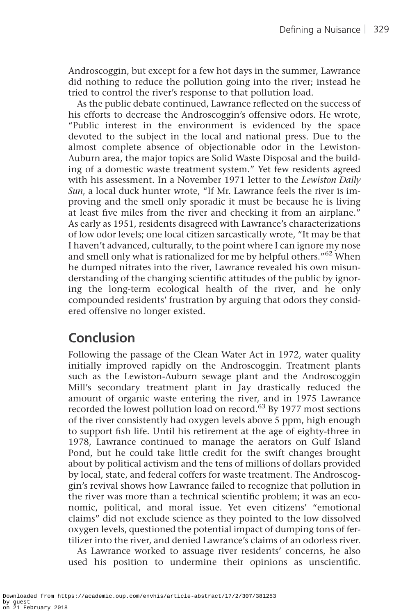Androscoggin, but except for a few hot days in the summer, Lawrance did nothing to reduce the pollution going into the river; instead he tried to control the river's response to that pollution load.

As the public debate continued, Lawrance reflected on the success of his efforts to decrease the Androscoggin's offensive odors. He wrote, "Public interest in the environment is evidenced by the space devoted to the subject in the local and national press. Due to the almost complete absence of objectionable odor in the Lewiston-Auburn area, the major topics are Solid Waste Disposal and the building of a domestic waste treatment system." Yet few residents agreed with his assessment. In a November 1971 letter to the Lewiston Daily Sun, a local duck hunter wrote, "If Mr. Lawrance feels the river is improving and the smell only sporadic it must be because he is living at least five miles from the river and checking it from an airplane." As early as 1951, residents disagreed with Lawrance's characterizations of low odor levels; one local citizen sarcastically wrote, "It may be that I haven't advanced, culturally, to the point where I can ignore my nose and smell only what is rationalized for me by helpful others."<sup>62</sup> When he dumped nitrates into the river, Lawrance revealed his own misunderstanding of the changing scientific attitudes of the public by ignoring the long-term ecological health of the river, and he only compounded residents' frustration by arguing that odors they considered offensive no longer existed.

## Conclusion

Following the passage of the Clean Water Act in 1972, water quality initially improved rapidly on the Androscoggin. Treatment plants such as the Lewiston-Auburn sewage plant and the Androscoggin Mill's secondary treatment plant in Jay drastically reduced the amount of organic waste entering the river, and in 1975 Lawrance recorded the lowest pollution load on record.<sup>63</sup> By 1977 most sections of the river consistently had oxygen levels above 5 ppm, high enough to support fish life. Until his retirement at the age of eighty-three in 1978, Lawrance continued to manage the aerators on Gulf Island Pond, but he could take little credit for the swift changes brought about by political activism and the tens of millions of dollars provided by local, state, and federal coffers for waste treatment. The Androscoggin's revival shows how Lawrance failed to recognize that pollution in the river was more than a technical scientific problem; it was an economic, political, and moral issue. Yet even citizens' "emotional claims" did not exclude science as they pointed to the low dissolved oxygen levels, questioned the potential impact of dumping tons of fertilizer into the river, and denied Lawrance's claims of an odorless river.

As Lawrance worked to assuage river residents' concerns, he also used his position to undermine their opinions as unscientific.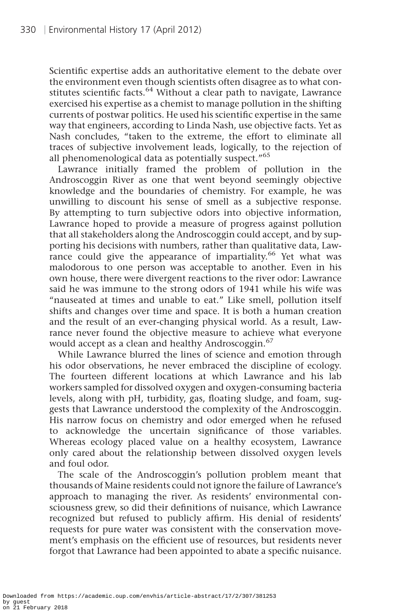Scientific expertise adds an authoritative element to the debate over the environment even though scientists often disagree as to what constitutes scientific facts.<sup>64</sup> Without a clear path to navigate, Lawrance exercised his expertise as a chemist to manage pollution in the shifting currents of postwar politics. He used his scientific expertise in the same way that engineers, according to Linda Nash, use objective facts. Yet as Nash concludes, "taken to the extreme, the effort to eliminate all traces of subjective involvement leads, logically, to the rejection of all phenomenological data as potentially suspect."<sup>65</sup>

Lawrance initially framed the problem of pollution in the Androscoggin River as one that went beyond seemingly objective knowledge and the boundaries of chemistry. For example, he was unwilling to discount his sense of smell as a subjective response. By attempting to turn subjective odors into objective information, Lawrance hoped to provide a measure of progress against pollution that all stakeholders along the Androscoggin could accept, and by supporting his decisions with numbers, rather than qualitative data, Lawrance could give the appearance of impartiality.<sup>66</sup> Yet what was malodorous to one person was acceptable to another. Even in his own house, there were divergent reactions to the river odor: Lawrance said he was immune to the strong odors of 1941 while his wife was "nauseated at times and unable to eat." Like smell, pollution itself shifts and changes over time and space. It is both a human creation and the result of an ever-changing physical world. As a result, Lawrance never found the objective measure to achieve what everyone would accept as a clean and healthy Androscoggin.<sup>67</sup>

While Lawrance blurred the lines of science and emotion through his odor observations, he never embraced the discipline of ecology. The fourteen different locations at which Lawrance and his lab workers sampled for dissolved oxygen and oxygen-consuming bacteria levels, along with pH, turbidity, gas, floating sludge, and foam, suggests that Lawrance understood the complexity of the Androscoggin. His narrow focus on chemistry and odor emerged when he refused to acknowledge the uncertain significance of those variables. Whereas ecology placed value on a healthy ecosystem, Lawrance only cared about the relationship between dissolved oxygen levels and foul odor.

The scale of the Androscoggin's pollution problem meant that thousands of Maine residents could not ignore the failure of Lawrance's approach to managing the river. As residents' environmental consciousness grew, so did their definitions of nuisance, which Lawrance recognized but refused to publicly affirm. His denial of residents' requests for pure water was consistent with the conservation movement's emphasis on the efficient use of resources, but residents never forgot that Lawrance had been appointed to abate a specific nuisance.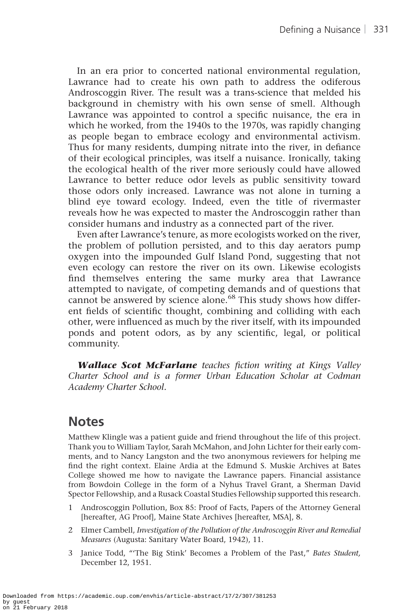In an era prior to concerted national environmental regulation, Lawrance had to create his own path to address the odiferous Androscoggin River. The result was a trans-science that melded his background in chemistry with his own sense of smell. Although Lawrance was appointed to control a specific nuisance, the era in which he worked, from the 1940s to the 1970s, was rapidly changing as people began to embrace ecology and environmental activism. Thus for many residents, dumping nitrate into the river, in defiance of their ecological principles, was itself a nuisance. Ironically, taking the ecological health of the river more seriously could have allowed Lawrance to better reduce odor levels as public sensitivity toward those odors only increased. Lawrance was not alone in turning a blind eye toward ecology. Indeed, even the title of rivermaster reveals how he was expected to master the Androscoggin rather than consider humans and industry as a connected part of the river.

Even after Lawrance's tenure, as more ecologists worked on the river, the problem of pollution persisted, and to this day aerators pump oxygen into the impounded Gulf Island Pond, suggesting that not even ecology can restore the river on its own. Likewise ecologists find themselves entering the same murky area that Lawrance attempted to navigate, of competing demands and of questions that cannot be answered by science alone.<sup>68</sup> This study shows how different fields of scientific thought, combining and colliding with each other, were influenced as much by the river itself, with its impounded ponds and potent odors, as by any scientific, legal, or political community.

**Wallace Scot McFarlane** teaches fiction writing at Kings Valley Charter School and is a former Urban Education Scholar at Codman Academy Charter School.

## **Notes**

Matthew Klingle was a patient guide and friend throughout the life of this project. Thank you to William Taylor, Sarah McMahon, and John Lichter for their early comments, and to Nancy Langston and the two anonymous reviewers for helping me find the right context. Elaine Ardia at the Edmund S. Muskie Archives at Bates College showed me how to navigate the Lawrance papers. Financial assistance from Bowdoin College in the form of a Nyhus Travel Grant, a Sherman David Spector Fellowship, and a Rusack Coastal Studies Fellowship supported this research.

- 1 Androscoggin Pollution, Box 85: Proof of Facts, Papers of the Attorney General [hereafter, AG Proof], Maine State Archives [hereafter, MSA], 8.
- 2 Elmer Cambell, Investigation of the Pollution of the Androscoggin River and Remedial Measures (Augusta: Sanitary Water Board, 1942), 11.
- 3 Janice Todd, "'The Big Stink' Becomes a Problem of the Past," Bates Student, December 12, 1951.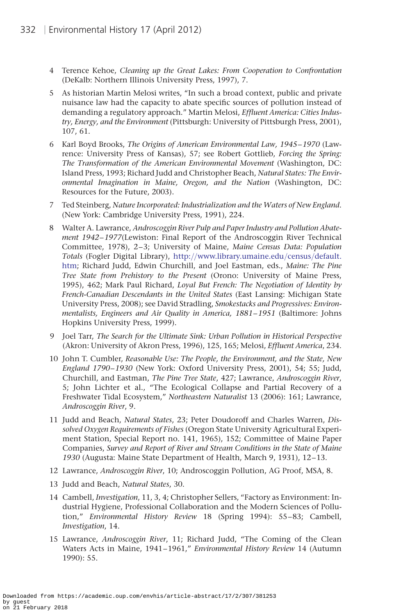- 4 Terence Kehoe, Cleaning up the Great Lakes: From Cooperation to Confrontation (DeKalb: Northern Illinois University Press, 1997), 7.
- 5 As historian Martin Melosi writes, "In such a broad context, public and private nuisance law had the capacity to abate specific sources of pollution instead of demanding a regulatory approach." Martin Melosi, Effluent America: Cities Industry, Energy, and the Environment (Pittsburgh: University of Pittsburgh Press, 2001), 107, 61.
- 6 Karl Boyd Brooks, The Origins of American Environmental Law, 1945 –1970 (Lawrence: University Press of Kansas), 57; see Robert Gottlieb, Forcing the Spring: The Transformation of the American Environmental Movement (Washington, DC: Island Press, 1993; Richard Judd and Christopher Beach, Natural States: The Environmental Imagination in Maine, Oregon, and the Nation (Washington, DC: Resources for the Future, 2003).
- 7 Ted Steinberg, Nature Incorporated: Industrialization and the Waters of New England. (New York: Cambridge University Press, 1991), 224.
- 8 Walter A. Lawrance, Androscoggin River Pulp and Paper Industry and Pollution Abatement 1942–1977(Lewiston: Final Report of the Androscoggin River Technical Committee, 1978), 2–3; University of Maine, Maine Census Data: Population Totals (Fogler Digital Library), [http:](http://www.library.umaine.edu/census/default.htm)//[www.library.umaine.edu](http://www.library.umaine.edu/census/default.htm)/census/default. [htm](http://www.library.umaine.edu/census/default.htm); Richard Judd, Edwin Churchill, and Joel Eastman, eds., Maine: The Pine Tree State from Prehistory to the Present (Orono: University of Maine Press, 1995), 462; Mark Paul Richard, Loyal But French: The Negotiation of Identity by French-Canadian Descendants in the United States (East Lansing: Michigan State University Press, 2008); see David Stradling, Smokestacks and Progressives: Environmentalists, Engineers and Air Quality in America, 1881–1951 (Baltimore: Johns Hopkins University Press, 1999).
- 9 Joel Tarr, The Search for the Ultimate Sink: Urban Pollution in Historical Perspective (Akron: University of Akron Press, 1996), 125, 165; Melosi, Effluent America, 234.
- 10 John T. Cumbler, Reasonable Use: The People, the Environment, and the State, New England 1790–1930 (New York: Oxford University Press, 2001), 54; 55; Judd, Churchill, and Eastman, The Pine Tree State, 427; Lawrance, Androscoggin River, 5; John Lichter et al., "The Ecological Collapse and Partial Recovery of a Freshwater Tidal Ecosystem," Northeastern Naturalist 13 (2006): 161; Lawrance, Androscoggin River, 9.
- 11 Judd and Beach, Natural States, 23; Peter Doudoroff and Charles Warren, Dissolved Oxygen Requirements of Fishes (Oregon State University Agricultural Experiment Station, Special Report no. 141, 1965), 152; Committee of Maine Paper Companies, Survey and Report of River and Stream Conditions in the State of Maine 1930 (Augusta: Maine State Department of Health, March 9, 1931), 12–13.
- 12 Lawrance, Androscoggin River, 10; Androscoggin Pollution, AG Proof, MSA, 8.
- 13 Judd and Beach, Natural States, 30.
- 14 Cambell, Investigation, 11, 3, 4; Christopher Sellers, "Factory as Environment: Industrial Hygiene, Professional Collaboration and the Modern Sciences of Pollution," Environmental History Review 18 (Spring 1994): 55–83; Cambell, Investigation, 14.
- 15 Lawrance, Androscoggin River, 11; Richard Judd, "The Coming of the Clean Waters Acts in Maine, 1941–1961," Environmental History Review 14 (Autumn 1990): 55.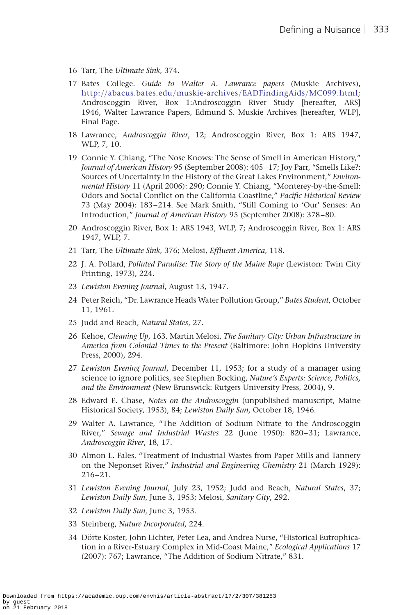- 16 Tarr, The Ultimate Sink, 374.
- 17 Bates College. Guide to Walter A. Lawrance papers (Muskie Archives), [http:](http://abacus.bates.edu/muskie-archives/EADFindingAids/MC099.html)//[abacus.bates.edu](http://abacus.bates.edu/muskie-archives/EADFindingAids/MC099.html)/muskie-archives/EADFindingAids/MC099.html; Androscoggin River, Box 1:Androscoggin River Study [hereafter, ARS] 1946, Walter Lawrance Papers, Edmund S. Muskie Archives [hereafter, WLP], Final Page.
- 18 Lawrance, Androscoggin River, 12; Androscoggin River, Box 1: ARS 1947, WLP, 7, 10.
- 19 Connie Y. Chiang, "The Nose Knows: The Sense of Smell in American History," Journal of American History 95 (September 2008): 405–17; Joy Parr, "Smells Like?: Sources of Uncertainty in the History of the Great Lakes Environment," Environmental History 11 (April 2006): 290; Connie Y. Chiang, "Monterey-by-the-Smell: Odors and Social Conflict on the California Coastline," Pacific Historical Review 73 (May 2004): 183–214. See Mark Smith, "Still Coming to 'Our' Senses: An Introduction," Journal of American History 95 (September 2008): 378–80.
- 20 Androscoggin River, Box 1: ARS 1943, WLP, 7; Androscoggin River, Box 1: ARS 1947, WLP, 7.
- 21 Tarr, The Ultimate Sink, 376; Melosi, Effluent America, 118.
- 22 J. A. Pollard, Polluted Paradise: The Story of the Maine Rape (Lewiston: Twin City Printing, 1973), 224.
- 23 Lewiston Evening Journal, August 13, 1947.
- 24 Peter Reich, "Dr. Lawrance Heads Water Pollution Group," Bates Student, October 11, 1961.
- 25 Judd and Beach, Natural States, 27.
- 26 Kehoe, Cleaning Up, 163. Martin Melosi, The Sanitary City: Urban Infrastructure in America from Colonial Times to the Present (Baltimore: John Hopkins University Press, 2000), 294.
- 27 Lewiston Evening Journal, December 11, 1953; for a study of a manager using science to ignore politics, see Stephen Bocking, Nature's Experts: Science, Politics, and the Environment (New Brunswick: Rutgers University Press, 2004), 9.
- 28 Edward E. Chase, Notes on the Androscoggin (unpublished manuscript, Maine Historical Society, 1953), 84; Lewiston Daily Sun, October 18, 1946.
- 29 Walter A. Lawrance, "The Addition of Sodium Nitrate to the Androscoggin River," Sewage and Industrial Wastes 22 (June 1950): 820–31; Lawrance, Androscoggin River, 18, 17.
- 30 Almon L. Fales, "Treatment of Industrial Wastes from Paper Mills and Tannery on the Neponset River," Industrial and Engineering Chemistry 21 (March 1929): 216–21.
- 31 Lewiston Evening Journal, July 23, 1952; Judd and Beach, Natural States, 37; Lewiston Daily Sun, June 3, 1953; Melosi, Sanitary City, 292.
- 32 Lewiston Daily Sun, June 3, 1953.
- 33 Steinberg, Nature Incorporated, 224.
- 34 Dörte Koster, John Lichter, Peter Lea, and Andrea Nurse, "Historical Eutrophication in a River-Estuary Complex in Mid-Coast Maine," Ecological Applications 17 (2007): 767; Lawrance, "The Addition of Sodium Nitrate," 831.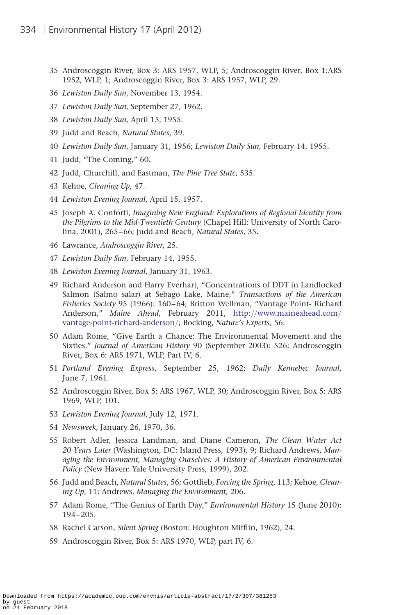- 35 Androscoggin River, Box 3: ARS 1957, WLP, 5; Androscoggin River, Box 1:ARS 1952, WLP, 1; Androscoggin River, Box 3: ARS 1957, WLP, 29.
- 36 Lewiston Daily Sun, November 13, 1954.
- 37 Lewiston Daily Sun, September 27, 1962.
- 38 Lewiston Daily Sun, April 15, 1955.
- 39 Judd and Beach, Natural States, 39.
- 40 Lewiston Daily Sun, January 31, 1956; Lewiston Daily Sun, February 14, 1955.
- 41 Judd, "The Coming," 60.
- 42 Judd, Churchill, and Eastman, The Pine Tree State, 535.
- 43 Kehoe, Cleaning Up, 47.
- 44 Lewiston Evening Journal, April 15, 1957.
- 45 Joseph A. Conforti, Imagining New England: Explorations of Regional Identity from the Pilgrims to the Mid-Twentieth Century (Chapel Hill: University of North Carolina, 2001), 265–66; Judd and Beach, Natural States, 35.
- 46 Lawrance, Androscoggin River, 25.
- 47 Lewiston Daily Sun, February 14, 1955.
- 48 Lewiston Evening Journal, January 31, 1963.
- 49 Richard Anderson and Harry Everhart, "Concentrations of DDT in Landlocked Salmon (Salmo salar) at Sebago Lake, Maine," Transactions of the American Fisheries Society 95 (1966): 160–64; Britton Wellman, "Vantage Point- Richard Anderson," Maine Ahead, February 2011, [http:](http://www.maineahead.com/vantage-point-richard-anderson/)//[www.maineahead.com](http://www.maineahead.com/vantage-point-richard-anderson/)/ [vantage-point-richard-anderson](http://www.maineahead.com/vantage-point-richard-anderson/)/; Bocking, Nature's Experts, 56.
- 50 Adam Rome, "Give Earth a Chance: The Environmental Movement and the Sixties," Journal of American History 90 (September 2003): 526; Androscoggin River, Box 6: ARS 1971, WLP, Part IV, 6.
- 51 Portland Evening Express, September 25, 1962; Daily Kennebec Journal, June 7, 1961.
- 52 Androscoggin River, Box 5: ARS 1967, WLP, 30; Androscoggin River, Box 5: ARS 1969, WLP, 101.
- 53 Lewiston Evening Journal, July 12, 1971.
- 54 Newsweek, January 26, 1970, 36.
- 55 Robert Adler, Jessica Landman, and Diane Cameron, The Clean Water Act 20 Years Later (Washington, DC: Island Press, 1993), 9; Richard Andrews, Managing the Environment, Managing Ourselves: A History of American Environmental Policy (New Haven: Yale University Press, 1999), 202.
- 56 Judd and Beach, Natural States, 56; Gottlieb, Forcing the Spring, 113; Kehoe, Cleaning Up, 11; Andrews, Managing the Environment, 206.
- 57 Adam Rome, "The Genius of Earth Day," Environmental History 15 (June 2010): 194–205.
- 58 Rachel Carson, Silent Spring (Boston: Houghton Mifflin, 1962), 24.
- 59 Androscoggin River, Box 5: ARS 1970, WLP, part IV, 6.